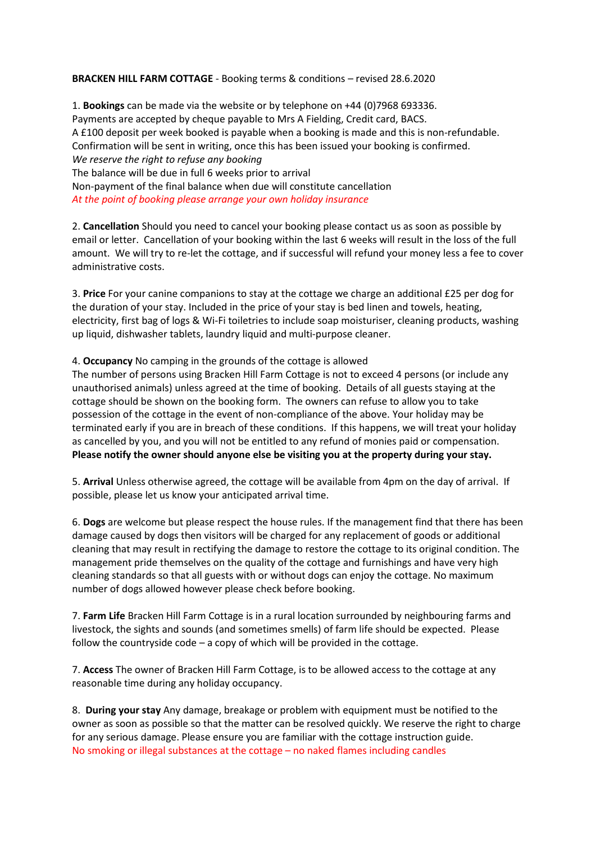## **BRACKEN HILL FARM COTTAGE** - Booking terms & conditions – revised 28.6.2020

1. **Bookings** can be made via the website or by telephone on +44 (0)7968 693336. Payments are accepted by cheque payable to Mrs A Fielding, Credit card, BACS. A £100 deposit per week booked is payable when a booking is made and this is non-refundable. Confirmation will be sent in writing, once this has been issued your booking is confirmed. *We reserve the right to refuse any booking*

The balance will be due in full 6 weeks prior to arrival Non-payment of the final balance when due will constitute cancellation *At the point of booking please arrange your own holiday insurance*

2. **Cancellation** Should you need to cancel your booking please contact us as soon as possible by email or letter. Cancellation of your booking within the last 6 weeks will result in the loss of the full amount. We will try to re-let the cottage, and if successful will refund your money less a fee to cover administrative costs.

3. **Price** For your canine companions to stay at the cottage we charge an additional £25 per dog for the duration of your stay. Included in the price of your stay is bed linen and towels, heating, electricity, first bag of logs & Wi-Fi toiletries to include soap moisturiser, cleaning products, washing up liquid, dishwasher tablets, laundry liquid and multi-purpose cleaner.

## 4. **Occupancy** No camping in the grounds of the cottage is allowed

The number of persons using Bracken Hill Farm Cottage is not to exceed 4 persons (or include any unauthorised animals) unless agreed at the time of booking. Details of all guests staying at the cottage should be shown on the booking form. The owners can refuse to allow you to take possession of the cottage in the event of non-compliance of the above. Your holiday may be terminated early if you are in breach of these conditions. If this happens, we will treat your holiday as cancelled by you, and you will not be entitled to any refund of monies paid or compensation. **Please notify the owner should anyone else be visiting you at the property during your stay.**

5. **Arrival** Unless otherwise agreed, the cottage will be available from 4pm on the day of arrival. If possible, please let us know your anticipated arrival time.

6. **Dogs** are welcome but please respect the house rules. If the management find that there has been damage caused by dogs then visitors will be charged for any replacement of goods or additional cleaning that may result in rectifying the damage to restore the cottage to its original condition. The management pride themselves on the quality of the cottage and furnishings and have very high cleaning standards so that all guests with or without dogs can enjoy the cottage. No maximum number of dogs allowed however please check before booking.

7. **Farm Life** Bracken Hill Farm Cottage is in a rural location surrounded by neighbouring farms and livestock, the sights and sounds (and sometimes smells) of farm life should be expected. Please follow the countryside code – a copy of which will be provided in the cottage.

7. **Access** The owner of Bracken Hill Farm Cottage, is to be allowed access to the cottage at any reasonable time during any holiday occupancy.

8. **During your stay** Any damage, breakage or problem with equipment must be notified to the owner as soon as possible so that the matter can be resolved quickly. We reserve the right to charge for any serious damage. Please ensure you are familiar with the cottage instruction guide. No smoking or illegal substances at the cottage – no naked flames including candles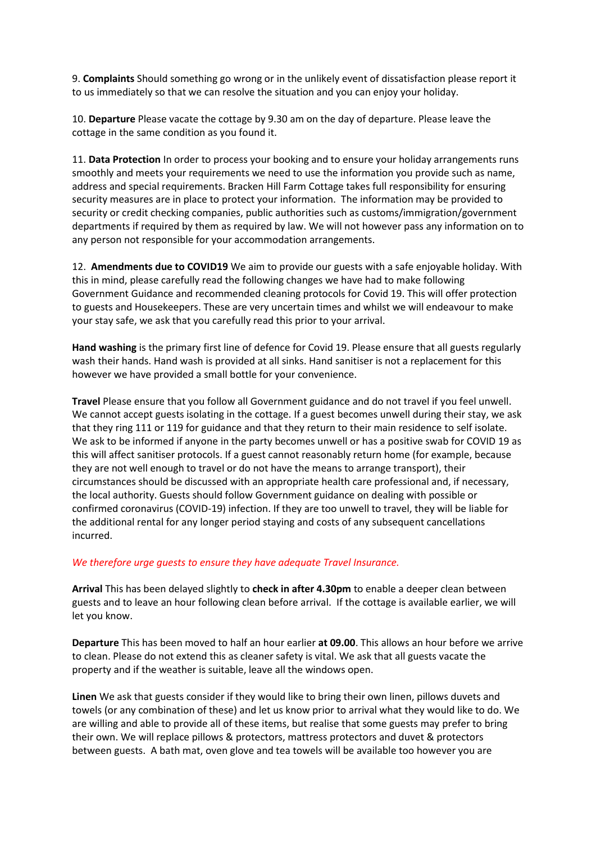9. **Complaints** Should something go wrong or in the unlikely event of dissatisfaction please report it to us immediately so that we can resolve the situation and you can enjoy your holiday.

10. **Departure** Please vacate the cottage by 9.30 am on the day of departure. Please leave the cottage in the same condition as you found it.

11. **Data Protection** In order to process your booking and to ensure your holiday arrangements runs smoothly and meets your requirements we need to use the information you provide such as name, address and special requirements. Bracken Hill Farm Cottage takes full responsibility for ensuring security measures are in place to protect your information. The information may be provided to security or credit checking companies, public authorities such as customs/immigration/government departments if required by them as required by law. We will not however pass any information on to any person not responsible for your accommodation arrangements.

12. **Amendments due to COVID19** We aim to provide our guests with a safe enjoyable holiday. With this in mind, please carefully read the following changes we have had to make following Government Guidance and recommended cleaning protocols for Covid 19. This will offer protection to guests and Housekeepers. These are very uncertain times and whilst we will endeavour to make your stay safe, we ask that you carefully read this prior to your arrival.

**Hand washing** is the primary first line of defence for Covid 19. Please ensure that all guests regularly wash their hands. Hand wash is provided at all sinks. Hand sanitiser is not a replacement for this however we have provided a small bottle for your convenience.

**Travel** Please ensure that you follow all Government guidance and do not travel if you feel unwell. We cannot accept guests isolating in the cottage. If a guest becomes unwell during their stay, we ask that they ring 111 or 119 for guidance and that they return to their main residence to self isolate. We ask to be informed if anyone in the party becomes unwell or has a positive swab for COVID 19 as this will affect sanitiser protocols. If a guest cannot reasonably return home (for example, because they are not well enough to travel or do not have the means to arrange transport), their circumstances should be discussed with an appropriate health care professional and, if necessary, the local authority. Guests should follow Government guidance on dealing with possible or confirmed coronavirus (COVID-19) infection. If they are too unwell to travel, they will be liable for the additional rental for any longer period staying and costs of any subsequent cancellations incurred.

## *We therefore urge guests to ensure they have adequate Travel Insurance.*

**Arrival** This has been delayed slightly to **check in after 4.30pm** to enable a deeper clean between guests and to leave an hour following clean before arrival. If the cottage is available earlier, we will let you know.

**Departure** This has been moved to half an hour earlier **at 09.00**. This allows an hour before we arrive to clean. Please do not extend this as cleaner safety is vital. We ask that all guests vacate the property and if the weather is suitable, leave all the windows open.

**Linen** We ask that guests consider if they would like to bring their own linen, pillows duvets and towels (or any combination of these) and let us know prior to arrival what they would like to do. We are willing and able to provide all of these items, but realise that some guests may prefer to bring their own. We will replace pillows & protectors, mattress protectors and duvet & protectors between guests. A bath mat, oven glove and tea towels will be available too however you are